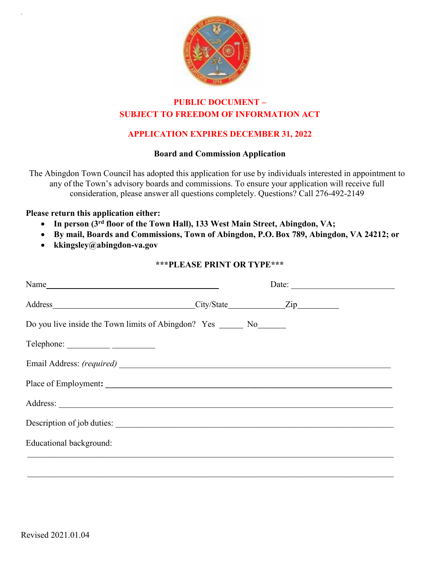

# **PUBLIC DOCUMENT – SUBJECT TO FREEDOM OF INFORMATION ACT**

# **APPLICATION EXPIRES DECEMBER 31, 2022**

### **Board and Commission Application**

The Abingdon Town Council has adopted this application for use by individuals interested in appointment to any of the Town's advisory boards and commissions. To ensure your application will receive full consideration, please answer all questions completely. Questions? Call 276-492-2149

#### **Please return this application either:**

- **In person (3rd floor of the Town Hall), 133 West Main Street, Abingdon, VA;**
- **By mail, Boards and Commissions, Town of Abingdon, P.O. Box 789, Abingdon, VA 24212; or**
- **kkingsley@abingdon-va.gov**

### **\*\*\*PLEASE PRINT OR TYPE\*\*\***

| Name                                                                    | Date: |
|-------------------------------------------------------------------------|-------|
|                                                                         |       |
| Do you live inside the Town limits of Abingdon? Yes ________ No________ |       |
|                                                                         |       |
|                                                                         |       |
|                                                                         |       |
|                                                                         |       |
|                                                                         |       |
| Educational background:                                                 |       |
|                                                                         |       |